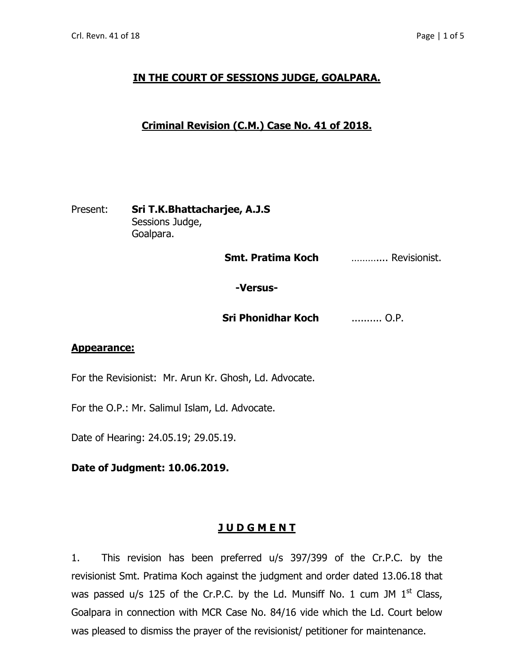# **IN THE COURT OF SESSIONS JUDGE, GOALPARA.**

## **Criminal Revision (C.M.) Case No. 41 of 2018.**

### Present: **Sri T.K.Bhattacharjee, A.J.S** Sessions Judge, Goalpara.

 **Smt. Pratima Koch** ……….... Revisionist.

## **-Versus-**

**Sri Phonidhar Koch** .......... O.P.

#### **Appearance:**

For the Revisionist: Mr. Arun Kr. Ghosh, Ld. Advocate.

For the O.P.: Mr. Salimul Islam, Ld. Advocate.

Date of Hearing: 24.05.19; 29.05.19.

**Date of Judgment: 10.06.2019.**

#### **J U D G M E N T**

1. This revision has been preferred u/s 397/399 of the Cr.P.C. by the revisionist Smt. Pratima Koch against the judgment and order dated 13.06.18 that was passed u/s 125 of the Cr.P.C. by the Ld. Munsiff No. 1 cum JM  $1<sup>st</sup>$  Class, Goalpara in connection with MCR Case No. 84/16 vide which the Ld. Court below was pleased to dismiss the prayer of the revisionist/ petitioner for maintenance.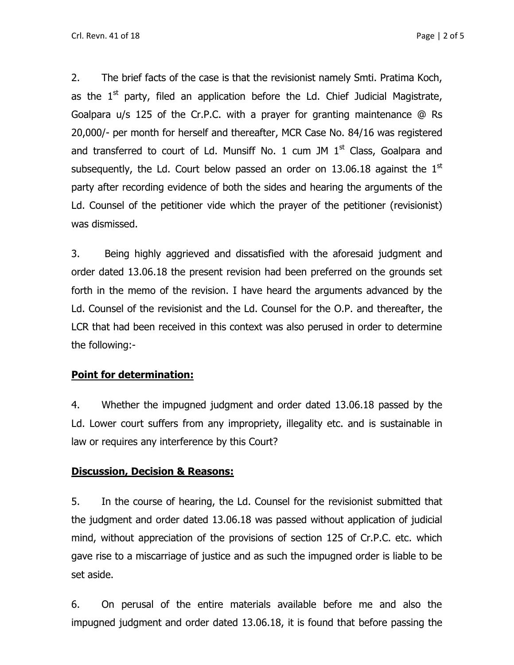2. The brief facts of the case is that the revisionist namely Smti. Pratima Koch, as the  $1<sup>st</sup>$  party, filed an application before the Ld. Chief Judicial Magistrate, Goalpara u/s 125 of the Cr.P.C. with a prayer for granting maintenance @ Rs 20,000/- per month for herself and thereafter, MCR Case No. 84/16 was registered and transferred to court of Ld. Munsiff No. 1 cum JM  $1<sup>st</sup>$  Class, Goalpara and subsequently, the Ld. Court below passed an order on 13.06.18 against the  $1<sup>st</sup>$ party after recording evidence of both the sides and hearing the arguments of the Ld. Counsel of the petitioner vide which the prayer of the petitioner (revisionist) was dismissed.

3. Being highly aggrieved and dissatisfied with the aforesaid judgment and order dated 13.06.18 the present revision had been preferred on the grounds set forth in the memo of the revision. I have heard the arguments advanced by the Ld. Counsel of the revisionist and the Ld. Counsel for the O.P. and thereafter, the LCR that had been received in this context was also perused in order to determine the following:-

#### **Point for determination:**

4. Whether the impugned judgment and order dated 13.06.18 passed by the Ld. Lower court suffers from any impropriety, illegality etc. and is sustainable in law or requires any interference by this Court?

#### **Discussion, Decision & Reasons:**

5. In the course of hearing, the Ld. Counsel for the revisionist submitted that the judgment and order dated 13.06.18 was passed without application of judicial mind, without appreciation of the provisions of section 125 of Cr.P.C. etc. which gave rise to a miscarriage of justice and as such the impugned order is liable to be set aside.

6. On perusal of the entire materials available before me and also the impugned judgment and order dated 13.06.18, it is found that before passing the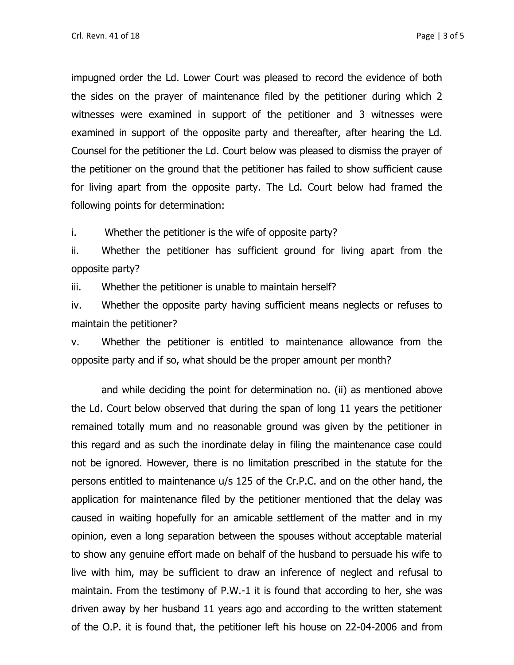impugned order the Ld. Lower Court was pleased to record the evidence of both the sides on the prayer of maintenance filed by the petitioner during which 2 witnesses were examined in support of the petitioner and 3 witnesses were examined in support of the opposite party and thereafter, after hearing the Ld. Counsel for the petitioner the Ld. Court below was pleased to dismiss the prayer of the petitioner on the ground that the petitioner has failed to show sufficient cause for living apart from the opposite party. The Ld. Court below had framed the following points for determination:

i. Whether the petitioner is the wife of opposite party?

ii. Whether the petitioner has sufficient ground for living apart from the opposite party?

iii. Whether the petitioner is unable to maintain herself?

iv. Whether the opposite party having sufficient means neglects or refuses to maintain the petitioner?

v. Whether the petitioner is entitled to maintenance allowance from the opposite party and if so, what should be the proper amount per month?

and while deciding the point for determination no. (ii) as mentioned above the Ld. Court below observed that during the span of long 11 years the petitioner remained totally mum and no reasonable ground was given by the petitioner in this regard and as such the inordinate delay in filing the maintenance case could not be ignored. However, there is no limitation prescribed in the statute for the persons entitled to maintenance u/s 125 of the Cr.P.C. and on the other hand, the application for maintenance filed by the petitioner mentioned that the delay was caused in waiting hopefully for an amicable settlement of the matter and in my opinion, even a long separation between the spouses without acceptable material to show any genuine effort made on behalf of the husband to persuade his wife to live with him, may be sufficient to draw an inference of neglect and refusal to maintain. From the testimony of P.W.-1 it is found that according to her, she was driven away by her husband 11 years ago and according to the written statement of the O.P. it is found that, the petitioner left his house on 22-04-2006 and from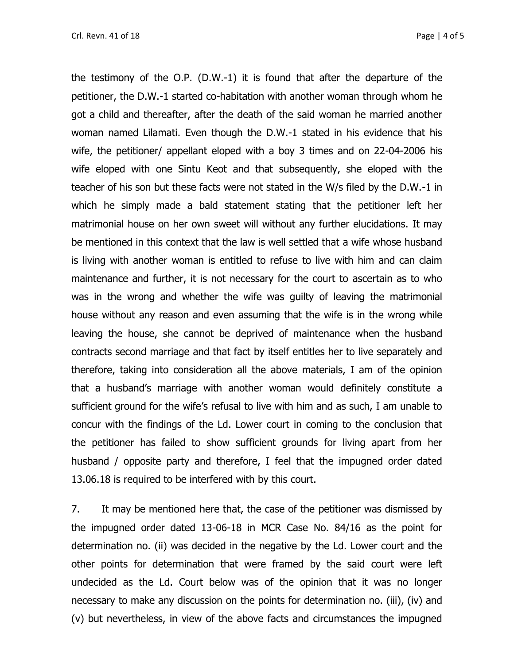the testimony of the O.P. (D.W.-1) it is found that after the departure of the petitioner, the D.W.-1 started co-habitation with another woman through whom he got a child and thereafter, after the death of the said woman he married another woman named Lilamati. Even though the D.W.-1 stated in his evidence that his wife, the petitioner/ appellant eloped with a boy 3 times and on 22-04-2006 his wife eloped with one Sintu Keot and that subsequently, she eloped with the teacher of his son but these facts were not stated in the W/s filed by the D.W.-1 in which he simply made a bald statement stating that the petitioner left her matrimonial house on her own sweet will without any further elucidations. It may be mentioned in this context that the law is well settled that a wife whose husband is living with another woman is entitled to refuse to live with him and can claim maintenance and further, it is not necessary for the court to ascertain as to who was in the wrong and whether the wife was guilty of leaving the matrimonial house without any reason and even assuming that the wife is in the wrong while leaving the house, she cannot be deprived of maintenance when the husband contracts second marriage and that fact by itself entitles her to live separately and therefore, taking into consideration all the above materials, I am of the opinion that a husband's marriage with another woman would definitely constitute a sufficient ground for the wife's refusal to live with him and as such, I am unable to concur with the findings of the Ld. Lower court in coming to the conclusion that the petitioner has failed to show sufficient grounds for living apart from her husband / opposite party and therefore, I feel that the impugned order dated 13.06.18 is required to be interfered with by this court.

7. It may be mentioned here that, the case of the petitioner was dismissed by the impugned order dated 13-06-18 in MCR Case No. 84/16 as the point for determination no. (ii) was decided in the negative by the Ld. Lower court and the other points for determination that were framed by the said court were left undecided as the Ld. Court below was of the opinion that it was no longer necessary to make any discussion on the points for determination no. (iii), (iv) and (v) but nevertheless, in view of the above facts and circumstances the impugned